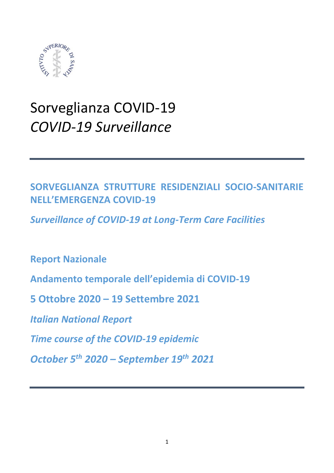

# Sorveglianza COVID-19 *COVID-19 Surveillance*

# **SORVEGLIANZA STRUTTURE RESIDENZIALI SOCIO-SANITARIE NELL'EMERGENZA COVID-19**

*Surveillance of COVID-19 at Long-Term Care Facilities*

**Report Nazionale** 

**Andamento temporale dell'epidemia di COVID-19**

**5 Ottobre 2020 – 19 Settembre 2021**

*Italian National Report*

*Time course of the COVID-19 epidemic* 

*October 5th 2020 – September 19th 2021*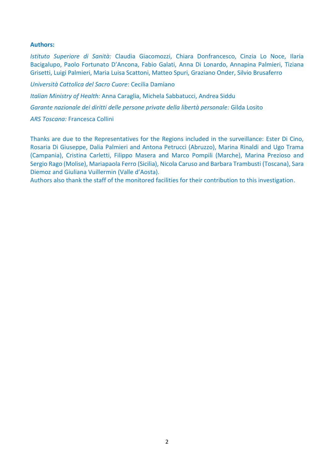#### **Authors:**

*Istituto Superiore di Sanità:* Claudia Giacomozzi, Chiara Donfrancesco, Cinzia Lo Noce, Ilaria Bacigalupo, Paolo Fortunato D'Ancona, Fabio Galati, Anna Di Lonardo, Annapina Palmieri, Tiziana Grisetti, Luigi Palmieri, Maria Luisa Scattoni, Matteo Spuri, Graziano Onder, Silvio Brusaferro

*Università Cattolica del Sacro Cuore*: Cecilia Damiano

*Italian Ministry of Health:* Anna Caraglia, Michela Sabbatucci, Andrea Siddu

*Garante nazionale dei diritti delle persone private della libertà personale:* Gilda Losito

*ARS Toscana:* Francesca Collini

Thanks are due to the Representatives for the Regions included in the surveillance: Ester Di Cino, Rosaria Di Giuseppe, Dalia Palmieri and Antona Petrucci (Abruzzo), Marina Rinaldi and Ugo Trama (Campania), Cristina Carletti, Filippo Masera and Marco Pompili (Marche), Marina Prezioso and Sergio Rago (Molise), Mariapaola Ferro (Sicilia), Nicola Caruso and Barbara Trambusti (Toscana), Sara Diemoz and Giuliana Vuillermin (Valle d'Aosta).

Authors also thank the staff of the monitored facilities for their contribution to this investigation.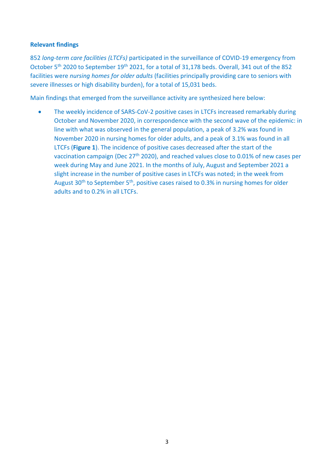## **Relevant findings**

852 *long-term care facilities (LTCFs)* participated in the surveillance of COVID-19 emergency from October 5<sup>th</sup> 2020 to September 19<sup>th</sup> 2021, for a total of 31,178 beds. Overall, 341 out of the 852 facilities were *nursing homes for older adults* (facilities principally providing care to seniors with severe illnesses or high disability burden), for a total of 15,031 beds.

Main findings that emerged from the surveillance activity are synthesized here below:

The weekly incidence of SARS-CoV-2 positive cases in LTCFs increased remarkably during October and November 2020, in correspondence with the second wave of the epidemic: in line with what was observed in the general population, a peak of 3.2% was found in November 2020 in nursing homes for older adults, and a peak of 3.1% was found in all LTCFs (**Figure 1**). The incidence of positive cases decreased after the start of the vaccination campaign (Dec 27th 2020), and reached values close to 0.01% of new cases per week during May and June 2021. In the months of July, August and September 2021 a slight increase in the number of positive cases in LTCFs was noted; in the week from August 30<sup>th</sup> to September 5<sup>th</sup>, positive cases raised to 0.3% in nursing homes for older adults and to 0.2% in all LTCFs.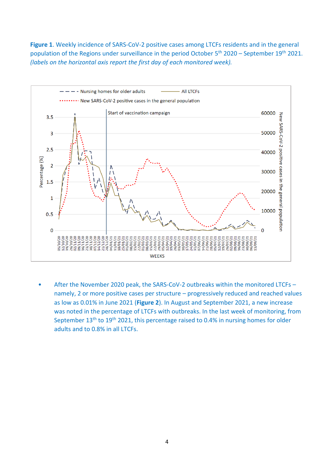**Figure 1**. Weekly incidence of SARS-CoV-2 positive cases among LTCFs residents and in the general population of the Regions under surveillance in the period October 5<sup>th</sup> 2020 – September 19<sup>th</sup> 2021. *(labels on the horizontal axis report the first day of each monitored week).*



• After the November 2020 peak, the SARS-CoV-2 outbreaks within the monitored LTCFs – namely, 2 or more positive cases per structure – progressively reduced and reached values as low as 0.01% in June 2021 (**Figure 2**). In August and September 2021, a new increase was noted in the percentage of LTCFs with outbreaks. In the last week of monitoring, from September  $13<sup>th</sup>$  to  $19<sup>th</sup>$  2021, this percentage raised to 0.4% in nursing homes for older adults and to 0.8% in all LTCFs.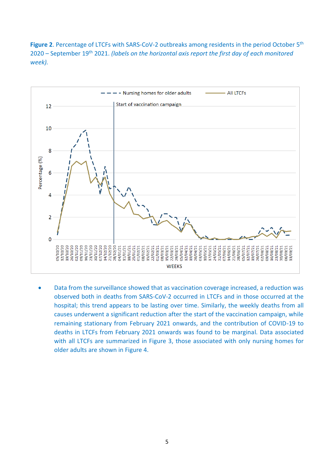Figure 2. Percentage of LTCFs with SARS-CoV-2 outbreaks among residents in the period October 5<sup>th</sup> 2020 – September 19th 2021. *(labels on the horizontal axis report the first day of each monitored week).*



• Data from the surveillance showed that as vaccination coverage increased, a reduction was observed both in deaths from SARS-CoV-2 occurred in LTCFs and in those occurred at the hospital; this trend appears to be lasting over time. Similarly, the weekly deaths from all causes underwent a significant reduction after the start of the vaccination campaign, while remaining stationary from February 2021 onwards, and the contribution of COVID-19 to deaths in LTCFs from February 2021 onwards was found to be marginal. Data associated with all LTCFs are summarized in Figure 3, those associated with only nursing homes for older adults are shown in Figure 4.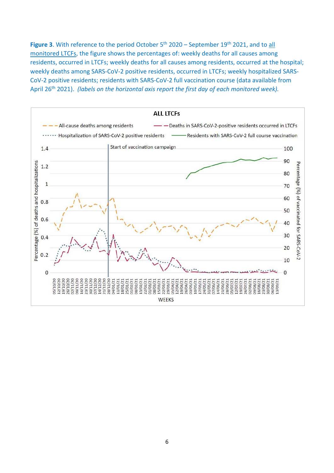Figure 3. With reference to the period October 5<sup>th</sup> 2020 – September 19<sup>th</sup> 2021, and to all monitored LTCFs, the figure shows the percentages of: weekly deaths for all causes among residents, occurred in LTCFs; weekly deaths for all causes among residents, occurred at the hospital; weekly deaths among SARS-CoV-2 positive residents, occurred in LTCFs; weekly hospitalized SARS-CoV-2 positive residents; residents with SARS-CoV-2 full vaccination course (data available from April 26<sup>th</sup> 2021). *(labels on the horizontal axis report the first day of each monitored week)*.

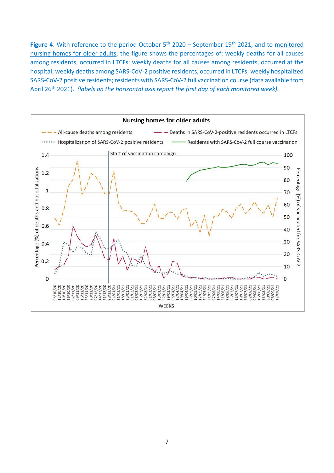Figure 4. With reference to the period October 5<sup>th</sup> 2020 – September 19<sup>th</sup> 2021, and to monitored nursing homes for older adults, the figure shows the percentages of: weekly deaths for all causes among residents, occurred in LTCFs; weekly deaths for all causes among residents, occurred at the hospital; weekly deaths among SARS-CoV-2 positive residents, occurred in LTCFs; weekly hospitalized SARS-CoV-2 positive residents; residents with SARS-CoV-2 full vaccination course (data available from April 26<sup>th</sup> 2021). *(labels on the horizontal axis report the first day of each monitored week)*.